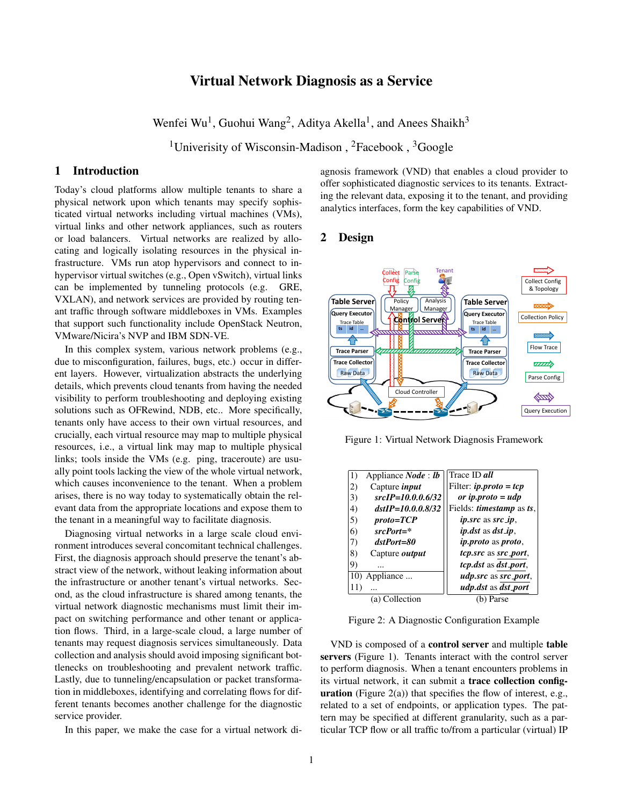# Virtual Network Diagnosis as a Service

Wenfei Wu<sup>1</sup>, Guohui Wang<sup>2</sup>, Aditya Akella<sup>1</sup>, and Anees Shaikh<sup>3</sup>

<sup>1</sup>Univerisity of Wisconsin-Madison, <sup>2</sup>Facebook, <sup>3</sup>Google

### 1 Introduction

Today's cloud platforms allow multiple tenants to share a physical network upon which tenants may specify sophisticated virtual networks including virtual machines (VMs), virtual links and other network appliances, such as routers or load balancers. Virtual networks are realized by allocating and logically isolating resources in the physical infrastructure. VMs run atop hypervisors and connect to inhypervisor virtual switches (e.g., Open vSwitch), virtual links can be implemented by tunneling protocols (e.g. GRE, VXLAN), and network services are provided by routing tenant traffic through software middleboxes in VMs. Examples that support such functionality include OpenStack Neutron, VMware/Nicira's NVP and IBM SDN-VE.

In this complex system, various network problems (e.g., due to misconfiguration, failures, bugs, etc.) occur in different layers. However, virtualization abstracts the underlying details, which prevents cloud tenants from having the needed visibility to perform troubleshooting and deploying existing solutions such as OFRewind, NDB, etc.. More specifically, tenants only have access to their own virtual resources, and crucially, each virtual resource may map to multiple physical resources, i.e., a virtual link may map to multiple physical links; tools inside the VMs (e.g. ping, traceroute) are usually point tools lacking the view of the whole virtual network, which causes inconvenience to the tenant. When a problem arises, there is no way today to systematically obtain the relevant data from the appropriate locations and expose them to the tenant in a meaningful way to facilitate diagnosis.

Diagnosing virtual networks in a large scale cloud environment introduces several concomitant technical challenges. First, the diagnosis approach should preserve the tenant's abstract view of the network, without leaking information about the infrastructure or another tenant's virtual networks. Second, as the cloud infrastructure is shared among tenants, the virtual network diagnostic mechanisms must limit their impact on switching performance and other tenant or application flows. Third, in a large-scale cloud, a large number of tenants may request diagnosis services simultaneously. Data collection and analysis should avoid imposing significant bottlenecks on troubleshooting and prevalent network traffic. Lastly, due to tunneling/encapsulation or packet transformation in middleboxes, identifying and correlating flows for different tenants becomes another challenge for the diagnostic service provider.

In this paper, we make the case for a virtual network di-

agnosis framework (VND) that enables a cloud provider to offer sophisticated diagnostic services to its tenants. Extracting the relevant data, exposing it to the tenant, and providing analytics interfaces, form the key capabilities of VND.

#### 2 Design



Figure 1: Virtual Network Diagnosis Framework

| 1)<br>Appliance <i>Node</i> : <i>lb</i> | Trace ID <i>all</i>                     |
|-----------------------------------------|-----------------------------------------|
| Capture <i>input</i><br>$\mathbf{2}$    | Filter: $ip$ .proto = tcp               |
| $srcIP = 10.0.0.6/32$<br>3)             | or ip.proto $= udp$                     |
| $dstIP=10.0.0.8/32$<br>4)               | Fields: <i>timestamp</i> as <i>ts</i> , |
| $proto = TCP$<br>5)                     | <i>ip.src</i> as <i>src_ip</i> ,        |
| $srcPort = *$<br>6)                     | <i>ip.dst</i> as <i>dst_ip</i> ,        |
| dstPort=80<br>7)                        | <i>ip.proto</i> as <i>proto</i> ,       |
| 8)<br>Capture <i>output</i>             | tcp.src as src_port,                    |
| 9)                                      | <i>tcp.dst</i> as <i>dst_port</i> ,     |
| 10) Appliance                           | <i>udp.src</i> as <i>src_port</i> ,     |
| 11)                                     | <i>udp.dst</i> as <i>dst_port</i>       |
| (a) Collection                          | Parse                                   |

Figure 2: A Diagnostic Configuration Example

VND is composed of a control server and multiple table servers (Figure 1). Tenants interact with the control server to perform diagnosis. When a tenant encounters problems in its virtual network, it can submit a trace collection config**uration** (Figure  $2(a)$ ) that specifies the flow of interest, e.g., related to a set of endpoints, or application types. The pattern may be specified at different granularity, such as a particular TCP flow or all traffic to/from a particular (virtual) IP